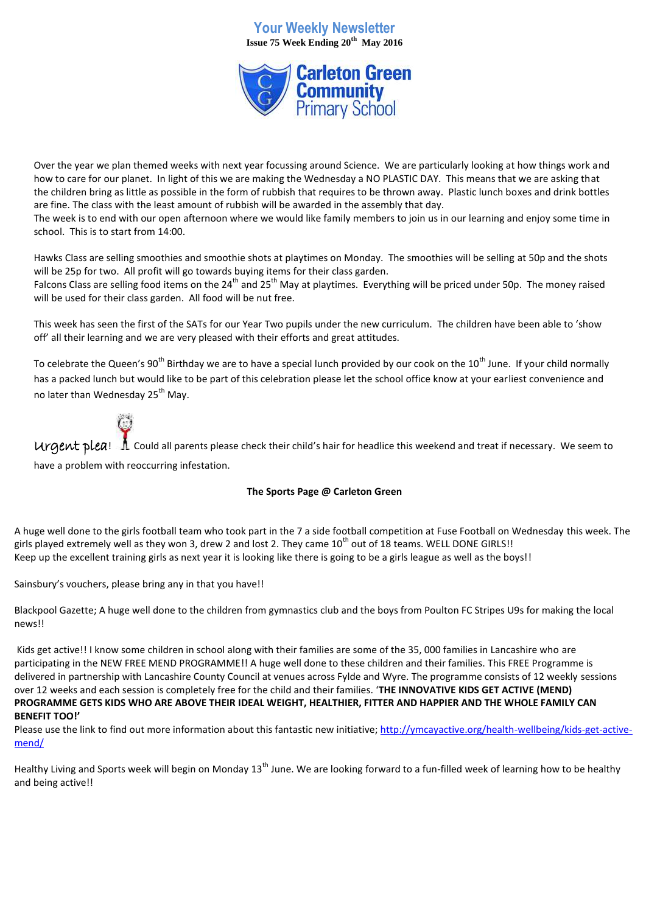# **Your Weekly Newsletter Issue 75 Week Ending 20th May 2016**



Over the year we plan themed weeks with next year focussing around Science. We are particularly looking at how things work and how to care for our planet. In light of this we are making the Wednesday a NO PLASTIC DAY. This means that we are asking that the children bring as little as possible in the form of rubbish that requires to be thrown away. Plastic lunch boxes and drink bottles are fine. The class with the least amount of rubbish will be awarded in the assembly that day.

The week is to end with our open afternoon where we would like family members to join us in our learning and enjoy some time in school. This is to start from 14:00.

Hawks Class are selling smoothies and smoothie shots at playtimes on Monday. The smoothies will be selling at 50p and the shots will be 25p for two. All profit will go towards buying items for their class garden.

Falcons Class are selling food items on the 24<sup>th</sup> and 25<sup>th</sup> May at playtimes. Everything will be priced under 50p. The money raised will be used for their class garden. All food will be nut free.

This week has seen the first of the SATs for our Year Two pupils under the new curriculum. The children have been able to 'show off' all their learning and we are very pleased with their efforts and great attitudes.

To celebrate the Queen's 90<sup>th</sup> Birthday we are to have a special lunch provided by our cook on the 10<sup>th</sup> June. If your child normally has a packed lunch but would like to be part of this celebration please let the school office know at your earliest convenience and no later than Wednesday 25<sup>th</sup> May.



 $U$ rgent plea!  $\Lambda$  Could all parents please check their child's hair for headlice this weekend and treat if necessary. We seem to

have a problem with reoccurring infestation.

### **The Sports Page @ Carleton Green**

A huge well done to the girls football team who took part in the 7 a side football competition at Fuse Football on Wednesday this week. The girls played extremely well as they won 3, drew 2 and lost 2. They came 10<sup>th</sup> out of 18 teams. WELL DONE GIRLS!! Keep up the excellent training girls as next year it is looking like there is going to be a girls league as well as the boys!!

Sainsbury's vouchers, please bring any in that you have!!

Blackpool Gazette; A huge well done to the children from gymnastics club and the boys from Poulton FC Stripes U9s for making the local news!!

Kids get active!! I know some children in school along with their families are some of the 35, 000 families in Lancashire who are participating in the NEW FREE MEND PROGRAMME!! A huge well done to these children and their families. This FREE Programme is delivered in partnership with Lancashire County Council at venues across Fylde and Wyre. The programme consists of 12 weekly sessions over 12 weeks and each session is completely free for the child and their families. '**THE INNOVATIVE KIDS GET ACTIVE (MEND) PROGRAMME GETS KIDS WHO ARE ABOVE THEIR IDEAL WEIGHT, HEALTHIER, FITTER AND HAPPIER AND THE WHOLE FAMILY CAN BENEFIT TOO!'**

Please use the link to find out more information about this fantastic new initiative[; http://ymcayactive.org/health-wellbeing/kids-get-active](http://ymcayactive.org/health-wellbeing/kids-get-active-mend/)[mend/](http://ymcayactive.org/health-wellbeing/kids-get-active-mend/)

Healthy Living and Sports week will begin on Monday 13<sup>th</sup> June. We are looking forward to a fun-filled week of learning how to be healthy and being active!!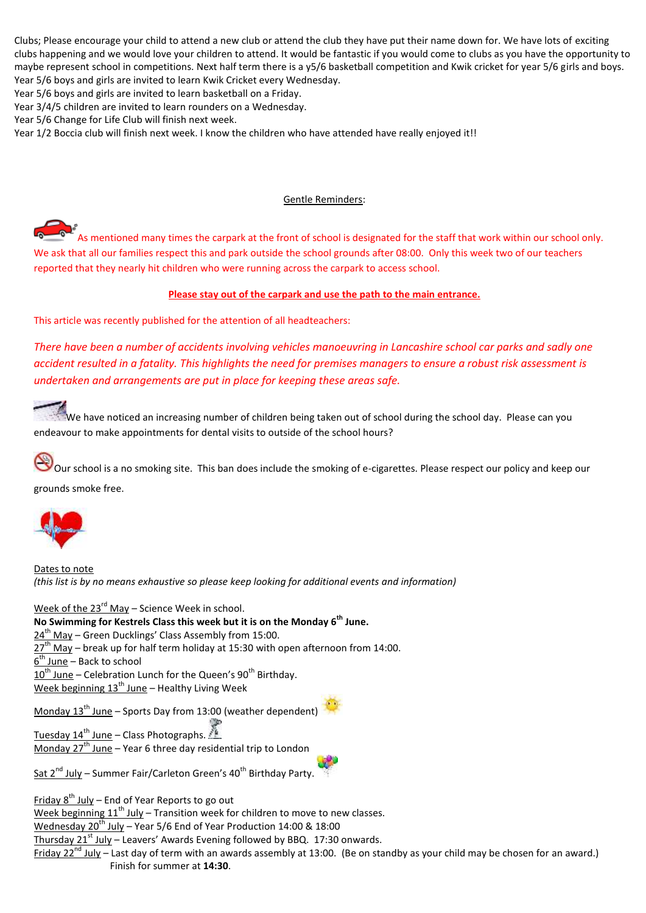Clubs; Please encourage your child to attend a new club or attend the club they have put their name down for. We have lots of exciting clubs happening and we would love your children to attend. It would be fantastic if you would come to clubs as you have the opportunity to maybe represent school in competitions. Next half term there is a y5/6 basketball competition and Kwik cricket for year 5/6 girls and boys. Year 5/6 boys and girls are invited to learn Kwik Cricket every Wednesday.

Year 5/6 boys and girls are invited to learn basketball on a Friday.

Year 3/4/5 children are invited to learn rounders on a Wednesday.

Year 5/6 Change for Life Club will finish next week.

Year 1/2 Boccia club will finish next week. I know the children who have attended have really enjoyed it!!

#### Gentle Reminders:

As mentioned many times the carpark at the front of school is designated for the staff that work within our school only. We ask that all our families respect this and park outside the school grounds after 08:00. Only this week two of our teachers reported that they nearly hit children who were running across the carpark to access school.

#### **Please stay out of the carpark and use the path to the main entrance.**

This article was recently published for the attention of all headteachers:

*There have been a number of accidents involving vehicles manoeuvring in Lancashire school car parks and sadly one accident resulted in a fatality. This highlights the need for premises managers to ensure a robust risk assessment is undertaken and arrangements are put in place for keeping these areas safe.*

We have noticed an increasing number of children being taken out of school during the school day. Please can you endeavour to make appointments for dental visits to outside of the school hours?

Our school is a no smoking site. This ban does include the smoking of e-cigarettes. Please respect our policy and keep our grounds smoke free.



Dates to note *(this list is by no means exhaustive so please keep looking for additional events and information)*

Week of the  $23^{rd}$  May – Science Week in school. **No Swimming for Kestrels Class this week but it is on the Monday 6th June.**  $24<sup>th</sup>$  May – Green Ducklings' Class Assembly from 15:00.  $27<sup>th</sup>$  May – break up for half term holiday at 15:30 with open afternoon from 14:00. <u>6<sup>th</sup> June</u> – Back to school  $10^{th}$  June – Celebration Lunch for the Queen's 90<sup>th</sup> Birthday. Week beginning  $13^{th}$  June – Healthy Living Week Monday  $13^{th}$  June – Sports Day from 13:00 (weather dependent) Tuesday  $14^{th}$  June – Class Photographs. Monday  $27<sup>th</sup>$  June – Year 6 three day residential trip to London

Sat  $2^{nd}$  July – Summer Fair/Carleton Green's 40<sup>th</sup> Birthday Party.

Friday  $8^{th}$  July – End of Year Reports to go out

Week beginning  $11<sup>th</sup>$  July – Transition week for children to move to new classes.

Wednesday  $20^{th}$  July – Year 5/6 End of Year Production 14:00 & 18:00

Thursday  $21<sup>st</sup>$  July – Leavers' Awards Evening followed by BBQ. 17:30 onwards.

Friday  $22^{nd}$  July – Last day of term with an awards assembly at 13:00. (Be on standby as your child may be chosen for an award.) Finish for summer at **14:30**.